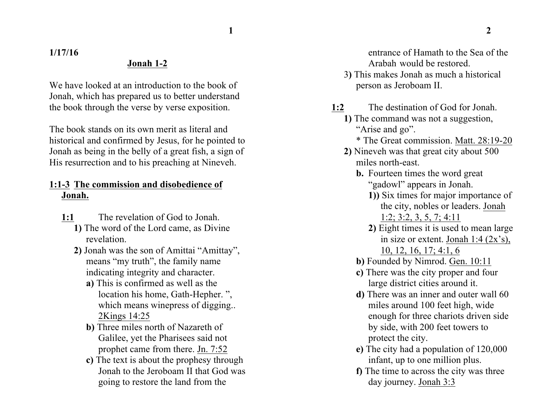**1 2**

**1/17/16**

#### **Jonah 1-2**

We have looked at an introduction to the book of Jonah, which has prepared us to better understand the book through the verse by verse exposition.

The book stands on its own merit as literal and historical and confirmed by Jesus, for he pointed to Jonah as being in the belly of a great fish, a sign of His resurrection and to his preaching at Nineveh.

# **1:1-3 The commission and disobedience of Jonah.**

- **1:1** The revelation of God to Jonah.
	- **1)** The word of the Lord came, as Divine revelation.
	- **2)** Jonah was the son of Amittai "Amittay", means "my truth", the family name indicating integrity and character.
		- **a)** This is confirmed as well as the location his home, Gath-Hepher. ", which means winepress of digging... 2Kings 14:25
		- **b)** Three miles north of Nazareth of Galilee, yet the Pharisees said not prophet came from there. Jn. 7:52
		- **c)** The text is about the prophesy through Jonah to the Jeroboam II that God was going to restore the land from the

entrance of Hamath to the Sea of the Arabah would be restored.

- 3**)** This makes Jonah as much a historical person as Jeroboam II.
- **1:2** The destination of God for Jonah. **1)** The command was not a suggestion, "Arise and go".
	- \* The Great commission. Matt. 28:19-20
	- **2)** Nineveh was that great city about 500 miles north-east.
		- **b.** Fourteen times the word great "gadowl" appears in Jonah.
			- **1))** Six times for major importance of the city, nobles or leaders. Jonah 1:2; 3:2, 3, 5, 7; 4:11
			- **2)** Eight times it is used to mean large in size or extent. Jonah 1:4 (2x's), 10, 12, 16, 17; 4:1, 6
		- **b)** Founded by Nimrod. Gen. 10:11
		- **c)** There was the city proper and four large district cities around it.
		- **d)** There was an inner and outer wall 60 miles around 100 feet high, wide enough for three chariots driven side by side, with 200 feet towers to protect the city.
		- **e)** The city had a population of 120,000 infant, up to one million plus.
		- **f)** The time to across the city was three day journey. Jonah 3:3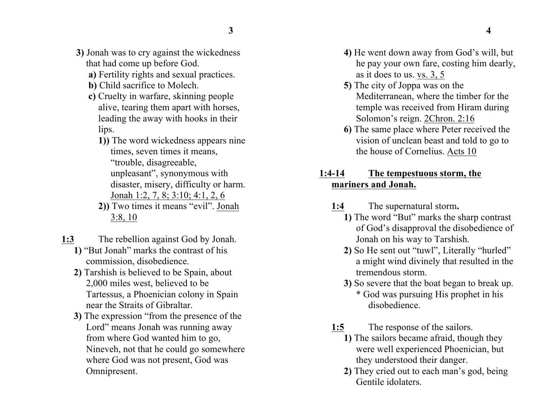- **3)** Jonah was to cry against the wickedness that had come up before God.
	- **a)** Fertility rights and sexual practices.
	- **b)** Child sacrifice to Molech.
	- **c)** Cruelty in warfare, skinning people alive, tearing them apart with horses, leading the away with hooks in their lips.
		- **1))** The word wickedness appears nine times, seven times it means, "trouble, disagreeable, unpleasant", synonymous with disaster, misery, difficulty or harm. Jonah 1:2, 7, 8; 3:10; 4:1, 2, 6
		- **2))** Two times it means "evil". Jonah 3:8, 10
- **1:3** The rebellion against God by Jonah.
	- **1)** "But Jonah" marks the contrast of his commission, disobedience.
	- **2)** Tarshish is believed to be Spain, about 2,000 miles west, believed to be Tartessus, a Phoenician colony in Spain near the Straits of Gibraltar.
	- **3)** The expression "from the presence of the Lord" means Jonah was running away from where God wanted him to go, Nineveh, not that he could go somewhere where God was not present, God was Omnipresent.
- **4)** He went down away from God's will, but he pay your own fare, costing him dearly, as it does to us. vs. 3, 5
- **5)** The city of Joppa was on the Mediterranean, where the timber for the temple was received from Hiram during Solomon's reign. 2Chron. 2:16
- **6)** The same place where Peter received the vision of unclean beast and told to go to the house of Cornelius. Acts 10

### **1:4-14 The tempestuous storm, the mariners and Jonah.**

- **1:4** The supernatural storm**.**
	- **1)** The word "But" marks the sharp contrast of God's disapproval the disobedience of Jonah on his way to Tarshish.
	- **2)** So He sent out "tuwl", Literally "hurled" a might wind divinely that resulted in the tremendous storm.
	- **3)** So severe that the boat began to break up. \* God was pursuing His prophet in his disobedience.
- **1:5** The response of the sailors.
	- **1)** The sailors became afraid, though they were well experienced Phoenician, but they understood their danger.
	- **2)** They cried out to each man's god, being Gentile idolaters.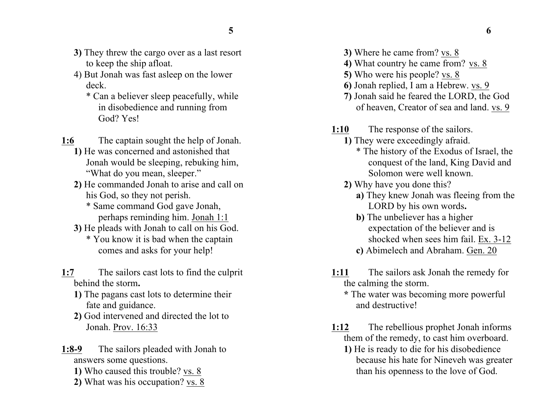- **3)** They threw the cargo over as a last resort to keep the ship afloat.
- 4) But Jonah was fast asleep on the lower deck.
	- \* Can a believer sleep peacefully, while in disobedience and running from God? Yes!
- **1:6** The captain sought the help of Jonah.
	- **1)** He was concerned and astonished that Jonah would be sleeping, rebuking him, "What do you mean, sleeper."
	- **2)** He commanded Jonah to arise and call on his God, so they not perish.
		- \* Same command God gave Jonah, perhaps reminding him. Jonah 1:1
	- **3)** He pleads with Jonah to call on his God. \* You know it is bad when the captain comes and asks for your help!
- **1:7** The sailors cast lots to find the culprit behind the storm**.**
	- **1)** The pagans cast lots to determine their fate and guidance.
	- **2)** God intervened and directed the lot to Jonah. Prov. 16:33
- **1:8-9** The sailors pleaded with Jonah to answers some questions.
	- **1)** Who caused this trouble? vs. 8
	- **2)** What was his occupation? vs. 8
- **3)** Where he came from? vs. 8
- **4)** What country he came from? vs. 8
- **5)** Who were his people? vs. 8
- **6)** Jonah replied, I am a Hebrew. vs. 9
- **7)** Jonah said he feared the LORD, the God of heaven, Creator of sea and land. vs. 9
- **1:10** The response of the sailors.
	- **1)** They were exceedingly afraid.
		- \* The history of the Exodus of Israel, the conquest of the land, King David and Solomon were well known.
	- **2)** Why have you done this?
		- **a)** They knew Jonah was fleeing from the LORD by his own words**.**
		- **b)** The unbeliever has a higher expectation of the believer and is shocked when sees him fail. Ex. 3-12
		- **c)** Abimelech and Abraham. Gen. 20
- **1:11** The sailors ask Jonah the remedy for the calming the storm.
	- **\*** The water was becoming more powerful and destructive!
- **1:12** The rebellious prophet Jonah informs them of the remedy, to cast him overboard. **1)** He is ready to die for his disobedience because his hate for Nineveh was greater than his openness to the love of God.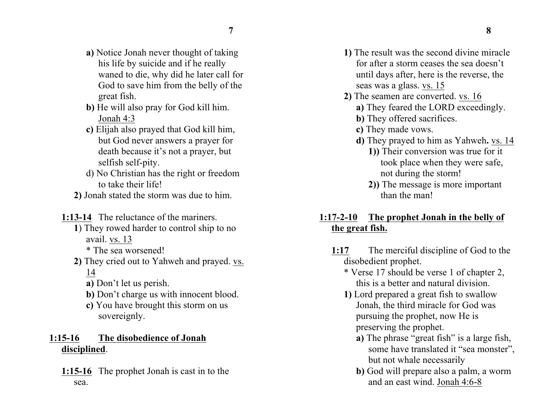- **a)** Notice Jonah never thought of taking his life by suicide and if he really waned to die, why did he later call for God to save him from the belly of the great fish.
- **b)** He will also pray for God kill him. Jonah 4:3
- **c)** Elijah also prayed that God kill him, but God never answers a prayer for death because it's not a prayer, but selfish self-pity.
- d) No Christian has the right or freedom to take their life!
- **2)** Jonah stated the storm was due to him.

**1:13-14** The reluctance of the mariners.

- **1**) They rowed harder to control ship to no avail. vs. 13
	- \* The sea worsened!
- **2)** They cried out to Yahweh and prayed. vs. 14
	- **a)** Don't let us perish.
	- **b)** Don't charge us with innocent blood.
	- **c)** You have brought this storm on us sovereignly.

### **1:15-16 The disobedience of Jonah disciplined**.

**1:15-16** The prophet Jonah is cast in to the sea.

- **1)** The result was the second divine miracle for after a storm ceases the sea doesn't until days after, here is the reverse, the seas was a glass. vs. 15
- **2)** The seamen are converted. vs. 16
	- **a)** They feared the LORD exceedingly.
	- **b)** They offered sacrifices.
	- **c)** They made vows.
	- **d)** They prayed to him as Yahweh**.** vs. 14
		- **1))** Their conversion was true for it took place when they were safe, not during the storm!
		- **2))** The message is more important than the man!

# **1:17-2-10 The prophet Jonah in the belly of the great fish.**

- **1:17** The merciful discipline of God to the disobedient prophet.
	- \* Verse 17 should be verse 1 of chapter 2, this is a better and natural division.
	- **1)** Lord prepared a great fish to swallow Jonah, the third miracle for God was pursuing the prophet, now He is preserving the prophet.
		- **a)** The phrase "great fish" is a large fish, some have translated it "sea monster", but not whale necessarily
		- **b)** God will prepare also a palm, a worm and an east wind. Jonah 4:6-8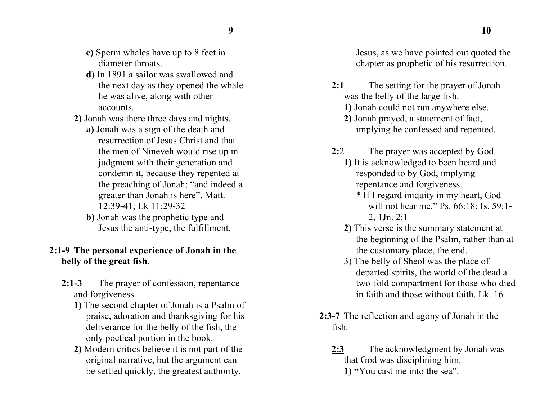- **c)** Sperm whales have up to 8 feet in diameter throats.
- **d)** In 1891 a sailor was swallowed and the next day as they opened the whale he was alive, along with other accounts.
- **2)** Jonah was there three days and nights.
	- **a)** Jonah was a sign of the death and resurrection of Jesus Christ and that the men of Nineveh would rise up in judgment with their generation and condemn it, because they repented at the preaching of Jonah; "and indeed a greater than Jonah is here". Matt. 12:39-41; Lk 11:29-32
	- **b)** Jonah was the prophetic type and Jesus the anti-type, the fulfillment.

#### **2:1-9 The personal experience of Jonah in the belly of the great fish.**

- **2:1-3** The prayer of confession, repentance and forgiveness.
	- **1)** The second chapter of Jonah is a Psalm of praise, adoration and thanksgiving for his deliverance for the belly of the fish, the only poetical portion in the book.
	- **2)** Modern critics believe it is not part of the original narrative, but the argument can be settled quickly, the greatest authority,

Jesus, as we have pointed out quoted the chapter as prophetic of his resurrection.

- **2:1** The setting for the prayer of Jonah was the belly of the large fish.
	- **1)** Jonah could not run anywhere else.
	- **2)** Jonah prayed, a statement of fact, implying he confessed and repented.
- **2:**2 The prayer was accepted by God. **1)** It is acknowledged to been heard and
	- responded to by God, implying repentance and forgiveness.
		- \* If I regard iniquity in my heart, God will not hear me." Ps. 66:18; Is. 59:1-2, 1Jn. 2:1
	- **2)** This verse is the summary statement at the beginning of the Psalm, rather than at the customary place, the end.
	- 3) The belly of Sheol was the place of departed spirits, the world of the dead a two-fold compartment for those who died in faith and those without faith. Lk. 16
- **2:3-7** The reflection and agony of Jonah in the fish.
	- **2:3** The acknowledgment by Jonah was that God was disciplining him. **1) "**You cast me into the sea".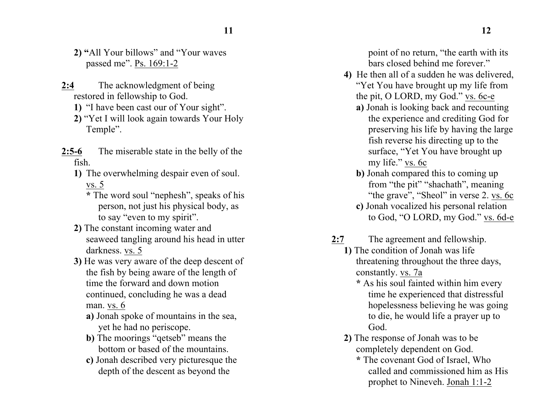- **2) "**All Your billows" and "Your waves passed me". Ps. 169:1-2
- **2:4** The acknowledgment of being restored in fellowship to God.
	- **1)** "I have been cast our of Your sight".
	- **2)** "Yet I will look again towards Your Holy Temple".
- **2:5-6** The miserable state in the belly of the fish.
	- **1)** The overwhelming despair even of soul. vs. 5
		- **\*** The word soul "nephesh", speaks of his person, not just his physical body, as to say "even to my spirit".
	- **2)** The constant incoming water and seaweed tangling around his head in utter darkness. vs. 5
	- **3)** He was very aware of the deep descent of the fish by being aware of the length of time the forward and down motion continued, concluding he was a dead man. vs. 6
		- **a)** Jonah spoke of mountains in the sea, yet he had no periscope.
		- **b**) The moorings "qetseb" means the bottom or based of the mountains.
		- **c)** Jonah described very picturesque the depth of the descent as beyond the

point of no return, "the earth with its bars closed behind me forever."

- **4)** He then all of a sudden he was delivered, "Yet You have brought up my life from the pit, O LORD, my God." vs. 6c-e
	- **a)** Jonah is looking back and recounting the experience and crediting God for preserving his life by having the large fish reverse his directing up to the surface, "Yet You have brought up my life." vs. 6c
	- **b)** Jonah compared this to coming up from "the pit" "shachath", meaning "the grave", "Sheol" in verse 2. vs. 6c
	- **c)** Jonah vocalized his personal relation to God, "O LORD, my God." vs. 6d-e
- **2:7** The agreement and fellowship.
	- **1)** The condition of Jonah was life threatening throughout the three days, constantly. vs. 7a
		- **\*** As his soul fainted within him every time he experienced that distressful hopelessness believing he was going to die, he would life a prayer up to God.
	- **2)** The response of Jonah was to be completely dependent on God.
		- **\*** The covenant God of Israel, Who called and commissioned him as His prophet to Nineveh. Jonah 1:1-2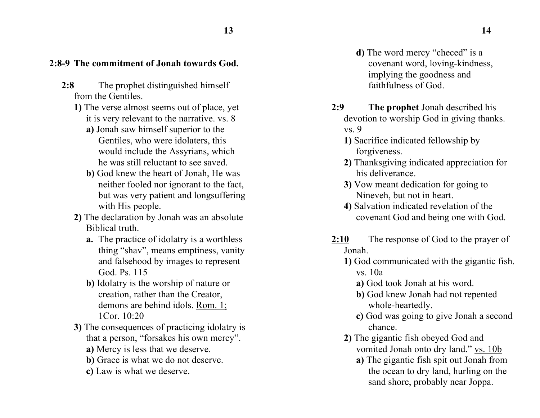# **2:8-9 The commitment of Jonah towards God.**

- **2:8** The prophet distinguished himself from the Gentiles.
	- **1)** The verse almost seems out of place, yet it is very relevant to the narrative. vs. 8
		- **a)** Jonah saw himself superior to the Gentiles, who were idolaters, this would include the Assyrians, which he was still reluctant to see saved.
		- **b)** God knew the heart of Jonah, He was neither fooled nor ignorant to the fact, but was very patient and longsuffering with His people.
	- **2)** The declaration by Jonah was an absolute Biblical truth.
		- **a.** The practice of idolatry is a worthless thing "shav", means emptiness, vanity and falsehood by images to represent God. Ps. 115
		- **b)** Idolatry is the worship of nature or creation, rather than the Creator, demons are behind idols. Rom. 1; 1Cor. 10:20
	- **3)** The consequences of practicing idolatry is that a person, "forsakes his own mercy".
		- **a)** Mercy is less that we deserve.
		- **b)** Grace is what we do not deserve.
		- **c)** Law is what we deserve.
- **d**) The word mercy "checed" is a covenant word, loving-kindness, implying the goodness and faithfulness of God.
- **2:9 The prophet** Jonah described his devotion to worship God in giving thanks. vs. 9
	- **1)** Sacrifice indicated fellowship by forgiveness.
	- **2)** Thanksgiving indicated appreciation for his deliverance.
	- **3)** Vow meant dedication for going to Nineveh, but not in heart.
	- **4)** Salvation indicated revelation of the covenant God and being one with God.
- **2:10** The response of God to the prayer of Jonah.
	- **1)** God communicated with the gigantic fish. vs. 10a
		- **a)** God took Jonah at his word.
		- **b)** God knew Jonah had not repented whole-heartedly.
		- **c)** God was going to give Jonah a second chance.
	- **2)** The gigantic fish obeyed God and vomited Jonah onto dry land." vs. 10b
		- **a)** The gigantic fish spit out Jonah from the ocean to dry land, hurling on the sand shore, probably near Joppa.